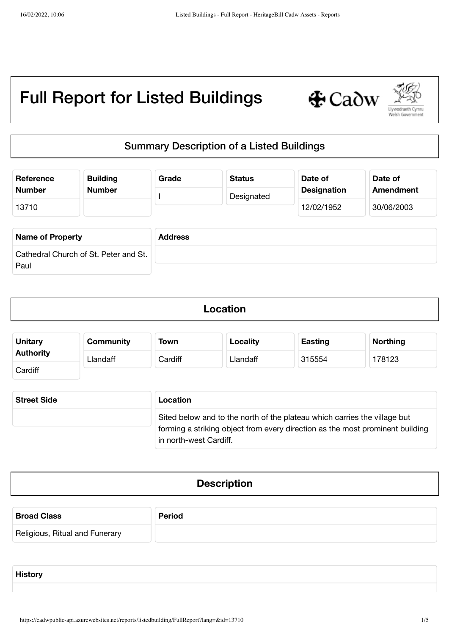

# Summary Description of a Listed Buildings

| Reference<br><b>Number</b>                    | <b>Building</b><br><b>Number</b> | Grade          | <b>Status</b> | Date of<br><b>Designation</b> | Date of<br><b>Amendment</b> |
|-----------------------------------------------|----------------------------------|----------------|---------------|-------------------------------|-----------------------------|
| 13710                                         |                                  |                | Designated    | 12/02/1952                    | 30/06/2003                  |
| <b>Name of Property</b>                       |                                  | <b>Address</b> |               |                               |                             |
| Cathedral Church of St. Peter and St.<br>Paul |                                  |                |               |                               |                             |

| <b>Unitary</b>   | <b>Community</b> | <b>Town</b> | <b>Locality</b> | <b>Easting</b> | <b>Northing</b> |
|------------------|------------------|-------------|-----------------|----------------|-----------------|
| <b>Authority</b> | Llandaff         | Cardiff     | Llandaff        | 315554         | 178123          |
| Cardiff          |                  |             |                 |                |                 |

| <b>Street Side</b> | Location                                                                                                                                                   |
|--------------------|------------------------------------------------------------------------------------------------------------------------------------------------------------|
|                    | Sited below and to the north of the plateau which carries the village but<br>forming a striking object from every direction as the most prominent building |
|                    | in north-west Cardiff.                                                                                                                                     |

## **Description**

| <b>Broad Class</b>             | <b>Period</b> |
|--------------------------------|---------------|
| Religious, Ritual and Funerary |               |

**History**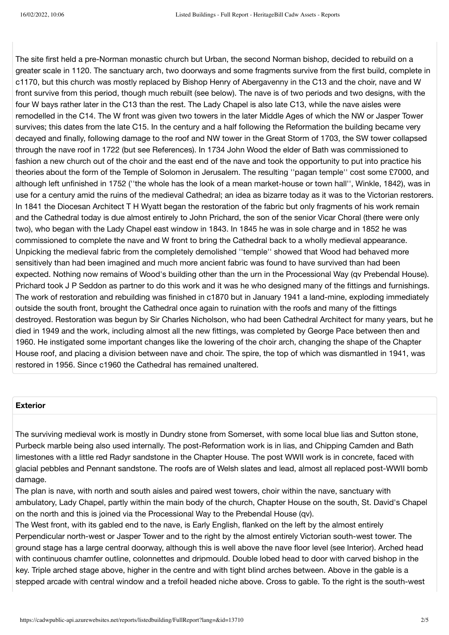The site first held a pre-Norman monastic church but Urban, the second Norman bishop, decided to rebuild on a greater scale in 1120. The sanctuary arch, two doorways and some fragments survive from the first build, complete in c1170, but this church was mostly replaced by Bishop Henry of Abergavenny in the C13 and the choir, nave and W front survive from this period, though much rebuilt (see below). The nave is of two periods and two designs, with the four W bays rather later in the C13 than the rest. The Lady Chapel is also late C13, while the nave aisles were remodelled in the C14. The W front was given two towers in the later Middle Ages of which the NW or Jasper Tower survives; this dates from the late C15. In the century and a half following the Reformation the building became very decayed and finally, following damage to the roof and NW tower in the Great Storm of 1703, the SW tower collapsed through the nave roof in 1722 (but see References). In 1734 John Wood the elder of Bath was commissioned to fashion a new church out of the choir and the east end of the nave and took the opportunity to put into practice his theories about the form of the Temple of Solomon in Jerusalem. The resulting ''pagan temple'' cost some £7000, and although left unfinished in 1752 (''the whole has the look of a mean market-house or town hall'', Winkle, 1842), was in use for a century amid the ruins of the medieval Cathedral; an idea as bizarre today as it was to the Victorian restorers. In 1841 the Diocesan Architect T H Wyatt began the restoration of the fabric but only fragments of his work remain and the Cathedral today is due almost entirely to John Prichard, the son of the senior Vicar Choral (there were only two), who began with the Lady Chapel east window in 1843. In 1845 he was in sole charge and in 1852 he was commissioned to complete the nave and W front to bring the Cathedral back to a wholly medieval appearance. Unpicking the medieval fabric from the completely demolished ''temple'' showed that Wood had behaved more sensitively than had been imagined and much more ancient fabric was found to have survived than had been expected. Nothing now remains of Wood's building other than the urn in the Processional Way (qv Prebendal House). Prichard took J P Seddon as partner to do this work and it was he who designed many of the fittings and furnishings. The work of restoration and rebuilding was finished in c1870 but in January 1941 a land-mine, exploding immediately outside the south front, brought the Cathedral once again to ruination with the roofs and many of the fittings destroyed. Restoration was begun by Sir Charles Nicholson, who had been Cathedral Architect for many years, but he died in 1949 and the work, including almost all the new fittings, was completed by George Pace between then and 1960. He instigated some important changes like the lowering of the choir arch, changing the shape of the Chapter House roof, and placing a division between nave and choir. The spire, the top of which was dismantled in 1941, was restored in 1956. Since c1960 the Cathedral has remained unaltered.

#### **Exterior**

The surviving medieval work is mostly in Dundry stone from Somerset, with some local blue lias and Sutton stone, Purbeck marble being also used internally. The post-Reformation work is in lias, and Chipping Camden and Bath limestones with a little red Radyr sandstone in the Chapter House. The post WWII work is in concrete, faced with glacial pebbles and Pennant sandstone. The roofs are of Welsh slates and lead, almost all replaced post-WWII bomb damage.

The plan is nave, with north and south aisles and paired west towers, choir within the nave, sanctuary with ambulatory, Lady Chapel, partly within the main body of the church, Chapter House on the south, St. David's Chapel on the north and this is joined via the Processional Way to the Prebendal House (qv).

The West front, with its gabled end to the nave, is Early English, flanked on the left by the almost entirely Perpendicular north-west or Jasper Tower and to the right by the almost entirely Victorian south-west tower. The ground stage has a large central doorway, although this is well above the nave floor level (see Interior). Arched head with continuous chamfer outline, colonnettes and dripmould. Double lobed head to door with carved bishop in the key. Triple arched stage above, higher in the centre and with tight blind arches between. Above in the gable is a stepped arcade with central window and a trefoil headed niche above. Cross to gable. To the right is the south-west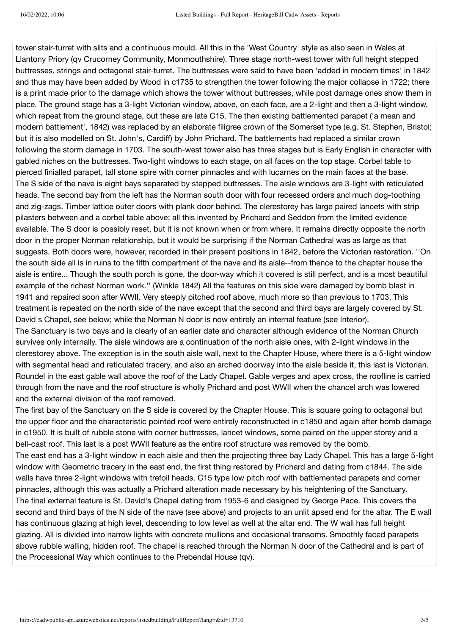tower stair-turret with slits and a continuous mould. All this in the 'West Country' style as also seen in Wales at Llantony Priory (qv Crucorney Community, Monmouthshire). Three stage north-west tower with full height stepped buttresses, strings and octagonal stair-turret. The buttresses were said to have been 'added in modern times' in 1842 and thus may have been added by Wood in c1735 to strengthen the tower following the major collapse in 1722; there is a print made prior to the damage which shows the tower without buttresses, while post damage ones show them in place. The ground stage has a 3-light Victorian window, above, on each face, are a 2-light and then a 3-light window, which repeat from the ground stage, but these are late C15. The then existing battlemented parapet ('a mean and modern battlement', 1842) was replaced by an elaborate filigree crown of the Somerset type (e.g. St. Stephen, Bristol; but it is also modelled on St. John's, Cardiff) by John Prichard. The battlements had replaced a similar crown following the storm damage in 1703. The south-west tower also has three stages but is Early English in character with gabled niches on the buttresses. Two-light windows to each stage, on all faces on the top stage. Corbel table to pierced finialled parapet, tall stone spire with corner pinnacles and with lucarnes on the main faces at the base. The S side of the nave is eight bays separated by stepped buttresses. The aisle windows are 3-light with reticulated heads. The second bay from the left has the Norman south door with four recessed orders and much dog-toothing and zig-zags. Timber lattice outer doors with plank door behind. The clerestorey has large paired lancets with strip pilasters between and a corbel table above; all this invented by Prichard and Seddon from the limited evidence available. The S door is possibly reset, but it is not known when or from where. It remains directly opposite the north door in the proper Norman relationship, but it would be surprising if the Norman Cathedral was as large as that suggests. Both doors were, however, recorded in their present positions in 1842, before the Victorian restoration. ''On the south side all is in ruins to the fifth compartment of the nave and its aisle--from thence to the chapter house the aisle is entire... Though the south porch is gone, the door-way which it covered is still perfect, and is a most beautiful example of the richest Norman work.'' (Winkle 1842) All the features on this side were damaged by bomb blast in 1941 and repaired soon after WWII. Very steeply pitched roof above, much more so than previous to 1703. This treatment is repeated on the north side of the nave except that the second and third bays are largely covered by St. David's Chapel, see below; while the Norman N door is now entirely an internal feature (see Interior). The Sanctuary is two bays and is clearly of an earlier date and character although evidence of the Norman Church survives only internally. The aisle windows are a continuation of the north aisle ones, with 2-light windows in the clerestorey above. The exception is in the south aisle wall, next to the Chapter House, where there is a 5-light window with segmental head and reticulated tracery, and also an arched doorway into the aisle beside it, this last is Victorian. Roundel in the east gable wall above the roof of the Lady Chapel. Gable verges and apex cross, the roofline is carried through from the nave and the roof structure is wholly Prichard and post WWII when the chancel arch was lowered and the external division of the roof removed.

The first bay of the Sanctuary on the S side is covered by the Chapter House. This is square going to octagonal but the upper floor and the characteristic pointed roof were entirely reconstructed in c1850 and again after bomb damage in c1950. It is built of rubble stone with corner buttresses, lancet windows, some paired on the upper storey and a bell-cast roof. This last is a post WWII feature as the entire roof structure was removed by the bomb.

The east end has a 3-light window in each aisle and then the projecting three bay Lady Chapel. This has a large 5-light window with Geometric tracery in the east end, the first thing restored by Prichard and dating from c1844. The side walls have three 2-light windows with trefoil heads. C15 type low pitch roof with battlemented parapets and corner pinnacles, although this was actually a Prichard alteration made necessary by his heightening of the Sanctuary. The final external feature is St. David's Chapel dating from 1953-6 and designed by George Pace. This covers the second and third bays of the N side of the nave (see above) and projects to an unlit apsed end for the altar. The E wall has continuous glazing at high level, descending to low level as well at the altar end. The W wall has full height glazing. All is divided into narrow lights with concrete mullions and occasional transoms. Smoothly faced parapets above rubble walling, hidden roof. The chapel is reached through the Norman N door of the Cathedral and is part of the Processional Way which continues to the Prebendal House (qv).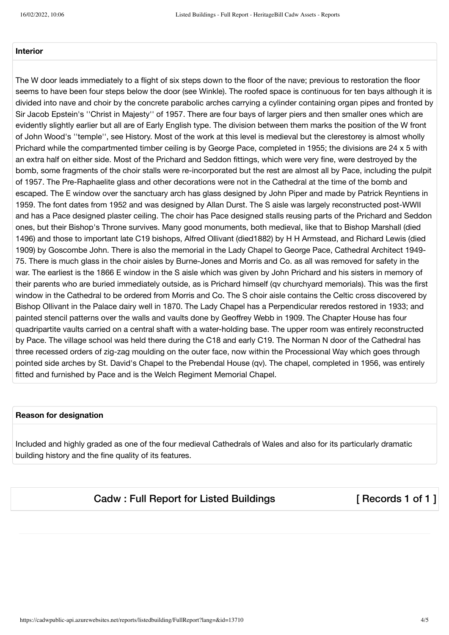### **Interior**

The W door leads immediately to a flight of six steps down to the floor of the nave; previous to restoration the floor seems to have been four steps below the door (see Winkle). The roofed space is continuous for ten bays although it is divided into nave and choir by the concrete parabolic arches carrying a cylinder containing organ pipes and fronted by Sir Jacob Epstein's ''Christ in Majesty'' of 1957. There are four bays of larger piers and then smaller ones which are evidently slightly earlier but all are of Early English type. The division between them marks the position of the W front of John Wood's ''temple'', see History. Most of the work at this level is medieval but the clerestorey is almost wholly Prichard while the compartmented timber ceiling is by George Pace, completed in 1955; the divisions are 24 x 5 with an extra half on either side. Most of the Prichard and Seddon fittings, which were very fine, were destroyed by the bomb, some fragments of the choir stalls were re-incorporated but the rest are almost all by Pace, including the pulpit of 1957. The Pre-Raphaelite glass and other decorations were not in the Cathedral at the time of the bomb and escaped. The E window over the sanctuary arch has glass designed by John Piper and made by Patrick Reyntiens in 1959. The font dates from 1952 and was designed by Allan Durst. The S aisle was largely reconstructed post-WWII and has a Pace designed plaster ceiling. The choir has Pace designed stalls reusing parts of the Prichard and Seddon ones, but their Bishop's Throne survives. Many good monuments, both medieval, like that to Bishop Marshall (died 1496) and those to important late C19 bishops, Alfred Ollivant (died1882) by H H Armstead, and Richard Lewis (died 1909) by Goscombe John. There is also the memorial in the Lady Chapel to George Pace, Cathedral Architect 1949- 75. There is much glass in the choir aisles by Burne-Jones and Morris and Co. as all was removed for safety in the war. The earliest is the 1866 E window in the S aisle which was given by John Prichard and his sisters in memory of their parents who are buried immediately outside, as is Prichard himself (qv churchyard memorials). This was the first window in the Cathedral to be ordered from Morris and Co. The S choir aisle contains the Celtic cross discovered by Bishop Ollivant in the Palace dairy well in 1870. The Lady Chapel has a Perpendicular reredos restored in 1933; and painted stencil patterns over the walls and vaults done by Geoffrey Webb in 1909. The Chapter House has four quadripartite vaults carried on a central shaft with a water-holding base. The upper room was entirely reconstructed by Pace. The village school was held there during the C18 and early C19. The Norman N door of the Cathedral has three recessed orders of zig-zag moulding on the outer face, now within the Processional Way which goes through pointed side arches by St. David's Chapel to the Prebendal House (qv). The chapel, completed in 1956, was entirely fitted and furnished by Pace and is the Welch Regiment Memorial Chapel.

#### **Reason for designation**

Included and highly graded as one of the four medieval Cathedrals of Wales and also for its particularly dramatic building history and the fine quality of its features.

Cadw: Full Report for Listed Buildings [ Records 1 of 1 ]